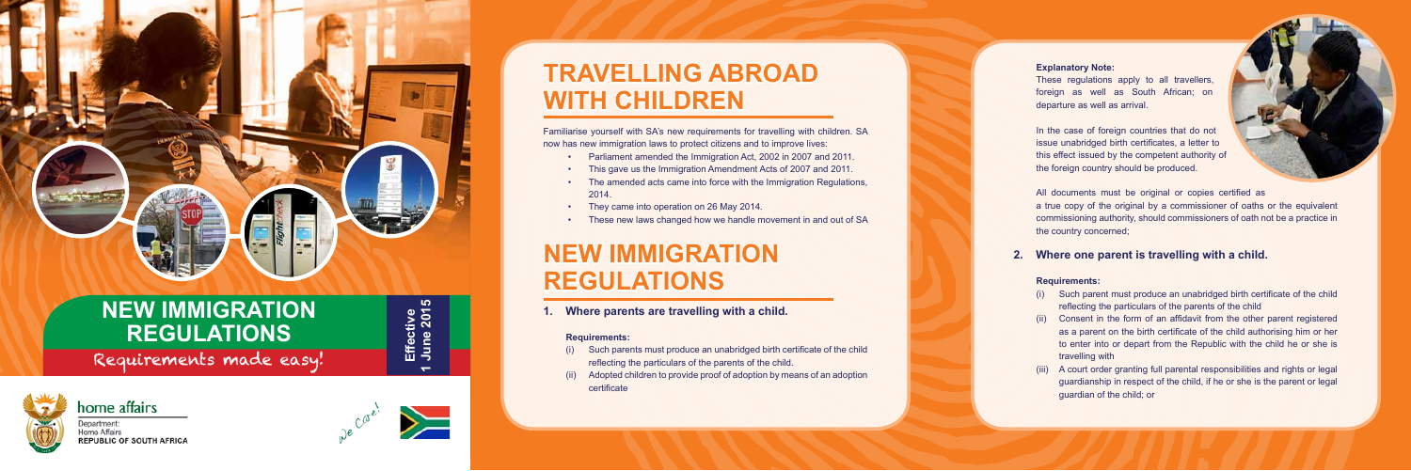#### **Explanatory Note:**

These regulations apply to all travellers foreign as well as South African; on departure as well as arrival.

In the case of foreign countries that do not issue unabridged birth certificates, a letter to this effect issued by the competent authority of the foreign country should be produced.



All documents must be original or copies certified as a true copy of the original by a commissioner of oaths or the equivalent commissioning authority, should commissioners of oath not be a practice in the country concerned;

### **2. Where one parent is travelling with a child.**

#### **Requirements:**

- (i) Such parent must produce an unabridged birth certificate of the child reflecting the particulars of the parents of the child
- (ii) Consent in the form of an affidavit from the other parent registered as a parent on the birth certificate of the child authorising him or her to enter into or depart from the Republic with the child he or she is travelling with
- (iii) A court order granting full parental responsibilities and rights or legal guardianship in respect of the child, if he or she is the parent or legal guardian of the child; or

# **TRAVELLING ABROAD WITH CHILDREN**

Familiarise yourself with SA's new requirements for travelling with children. SA now has new immigration laws to protect citizens and to improve lives:

- Parliament amended the Immigration Act, 2002 in 2007 and 2011.
- This gave us the Immigration Amendment Acts of 2007 and 2011.
- The amended acts came into force with the Immigration Regulations, 2014.
- They came into operation on 26 May 2014.
- These new laws changed how we handle movement in and out of SA

# **NEW IMMIGRATION REGULATIONS**

**1. Where parents are travelling with a child.** 

#### **Requirements:**

- (i) Such parents must produce an unabridged birth certificate of the child reflecting the particulars of the parents of the child.
- (ii) Adopted children to provide proof of adoption by means of an adoption certificate

# **NEW IMMIGRATION REGULATIONS**

Requirements made easy!



Department: **Home Affairs REPUBLIC OF SOUTH AFRICA**